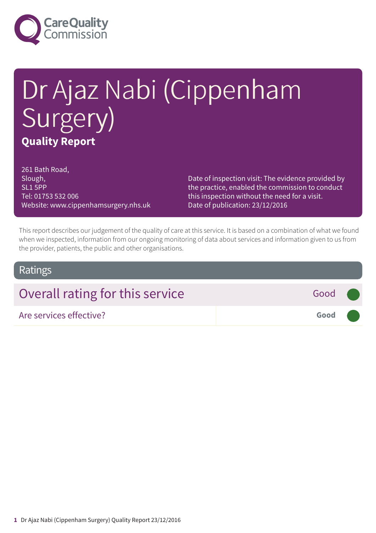

# Dr Ajaz Nabi (Cippenham Surgery) **Quality Report**

261 Bath Road, Slough, SL1 5PP Tel: 01753 532 006 Website: www.cippenhamsurgery.nhs.uk

Date of inspection visit: The evidence provided by the practice, enabled the commission to conduct this inspection without the need for a visit. Date of publication: 23/12/2016

This report describes our judgement of the quality of care at this service. It is based on a combination of what we found when we inspected, information from our ongoing monitoring of data about services and information given to us from the provider, patients, the public and other organisations.

#### Ratings

| Overall rating for this service<br>Good (      |  |
|------------------------------------------------|--|
| Good <b>Company</b><br>Are services effective? |  |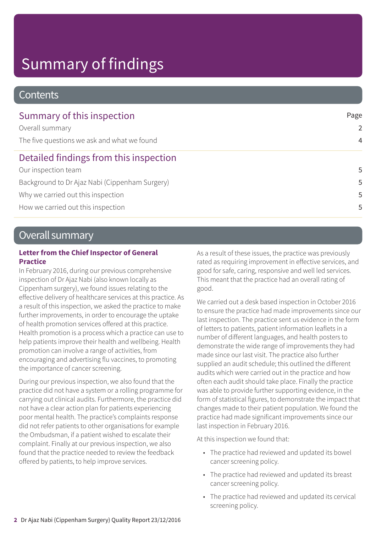# Summary of findings

### **Contents**

| Summary of this inspection                     | Page           |
|------------------------------------------------|----------------|
| Overall summary                                | $\mathcal{L}$  |
| The five questions we ask and what we found    | $\overline{4}$ |
| Detailed findings from this inspection         |                |
| Our inspection team                            | 5              |
| Background to Dr Ajaz Nabi (Cippenham Surgery) | .5             |
| Why we carried out this inspection             | 5              |
| How we carried out this inspection             | 5              |

### Overall summary

#### **Letter from the Chief Inspector of General Practice**

In February 2016, during our previous comprehensive inspection of Dr Ajaz Nabi (also known locally as Cippenham surgery), we found issues relating to the effective delivery of healthcare services at this practice. As a result of this inspection, we asked the practice to make further improvements, in order to encourage the uptake of health promotion services offered at this practice. Health promotion is a process which a practice can use to help patients improve their health and wellbeing. Health promotion can involve a range of activities, from encouraging and advertising flu vaccines, to promoting the importance of cancer screening.

During our previous inspection, we also found that the practice did not have a system or a rolling programme for carrying out clinical audits. Furthermore, the practice did not have a clear action plan for patients experiencing poor mental health. The practice's complaints response did not refer patients to other organisations for example the Ombudsman, if a patient wished to escalate their complaint. Finally at our previous inspection, we also found that the practice needed to review the feedback offered by patients, to help improve services.

As a result of these issues, the practice was previously rated as requiring improvement in effective services, and good for safe, caring, responsive and well led services. This meant that the practice had an overall rating of good.

We carried out a desk based inspection in October 2016 to ensure the practice had made improvements since our last inspection. The practice sent us evidence in the form of letters to patients, patient information leaflets in a number of different languages, and health posters to demonstrate the wide range of improvements they had made since our last visit. The practice also further supplied an audit schedule; this outlined the different audits which were carried out in the practice and how often each audit should take place. Finally the practice was able to provide further supporting evidence, in the form of statistical figures, to demonstrate the impact that changes made to their patient population. We found the practice had made significant improvements since our last inspection in February 2016.

At this inspection we found that:

- The practice had reviewed and updated its bowel cancer screening policy.
- The practice had reviewed and updated its breast cancer screening policy.
- The practice had reviewed and updated its cervical screening policy.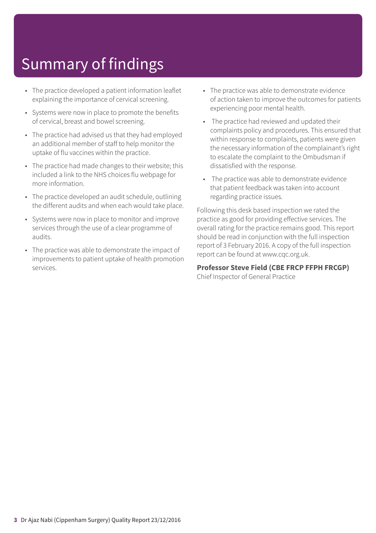# Summary of findings

- The practice developed a patient information leaflet explaining the importance of cervical screening.
- Systems were now in place to promote the benefits of cervical, breast and bowel screening.
- The practice had advised us that they had employed an additional member of staff to help monitor the uptake of flu vaccines within the practice.
- The practice had made changes to their website; this included a link to the NHS choices flu webpage for more information.
- The practice developed an audit schedule, outlining the different audits and when each would take place.
- Systems were now in place to monitor and improve services through the use of a clear programme of audits.
- The practice was able to demonstrate the impact of improvements to patient uptake of health promotion services.
- The practice was able to demonstrate evidence of action taken to improve the outcomes for patients experiencing poor mental health.
- The practice had reviewed and updated their complaints policy and procedures. This ensured that within response to complaints, patients were given the necessary information of the complainant's right to escalate the complaint to the Ombudsman if dissatisfied with the response.
- The practice was able to demonstrate evidence that patient feedback was taken into account regarding practice issues.

Following this desk based inspection we rated the practice as good for providing effective services. The overall rating for the practice remains good. This report should be read in conjunction with the full inspection report of 3 February 2016. A copy of the full inspection report can be found at www.cqc.org.uk.

**Professor Steve Field (CBE FRCP FFPH FRCGP)** Chief Inspector of General Practice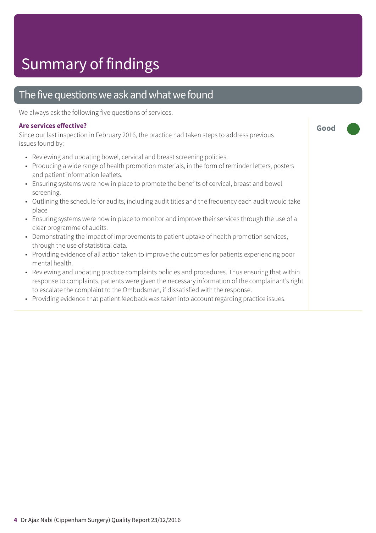# Summary of findings

### The five questions we ask and what we found

We always ask the following five questions of services.

#### **Are services effective?**

Since our last inspection in February 2016, the practice had taken steps to address previous issues found by:

- Reviewing and updating bowel, cervical and breast screening policies.
- Producing a wide range of health promotion materials, in the form of reminder letters, posters and patient information leaflets.

**Good –––**

- Ensuring systems were now in place to promote the benefits of cervical, breast and bowel screening.
- Outlining the schedule for audits, including audit titles and the frequency each audit would take place
- Ensuring systems were now in place to monitor and improve their services through the use of a clear programme of audits.
- Demonstrating the impact of improvements to patient uptake of health promotion services, through the use of statistical data.
- Providing evidence of all action taken to improve the outcomes for patients experiencing poor mental health.
- Reviewing and updating practice complaints policies and procedures. Thus ensuring that within response to complaints, patients were given the necessary information of the complainant's right to escalate the complaint to the Ombudsman, if dissatisfied with the response.
- Providing evidence that patient feedback was taken into account regarding practice issues.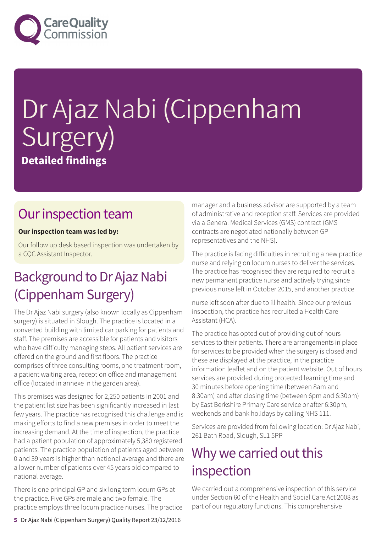

# Dr Ajaz Nabi (Cippenham Surgery) **Detailed findings**

## Our inspection team

#### **Our inspection team was led by:**

Our follow up desk based inspection was undertaken by a CQC Assistant Inspector.

## Background to Dr Ajaz Nabi (Cippenham Surgery)

The Dr Ajaz Nabi surgery (also known locally as Cippenham surgery) is situated in Slough. The practice is located in a converted building with limited car parking for patients and staff. The premises are accessible for patients and visitors who have difficulty managing steps. All patient services are offered on the ground and first floors. The practice comprises of three consulting rooms, one treatment room, a patient waiting area, reception office and management office (located in annexe in the garden area).

This premises was designed for 2,250 patients in 2001 and the patient list size has been significantly increased in last few years. The practice has recognised this challenge and is making efforts to find a new premises in order to meet the increasing demand. At the time of inspection, the practice had a patient population of approximately 5,380 registered patients. The practice population of patients aged between 0 and 39 years is higher than national average and there are a lower number of patients over 45 years old compared to national average.

There is one principal GP and six long term locum GPs at the practice. Five GPs are male and two female. The practice employs three locum practice nurses. The practice manager and a business advisor are supported by a team of administrative and reception staff. Services are provided via a General Medical Services (GMS) contract (GMS contracts are negotiated nationally between GP representatives and the NHS).

The practice is facing difficulties in recruiting a new practice nurse and relying on locum nurses to deliver the services. The practice has recognised they are required to recruit a new permanent practice nurse and actively trying since previous nurse left in October 2015, and another practice

nurse left soon after due to ill health. Since our previous inspection, the practice has recruited a Health Care Assistant (HCA).

The practice has opted out of providing out of hours services to their patients. There are arrangements in place for services to be provided when the surgery is closed and these are displayed at the practice, in the practice information leaflet and on the patient website. Out of hours services are provided during protected learning time and 30 minutes before opening time (between 8am and 8:30am) and after closing time (between 6pm and 6:30pm) by East Berkshire Primary Care service or after 6:30pm, weekends and bank holidays by calling NHS 111.

Services are provided from following location: Dr Ajaz Nabi, 261 Bath Road, Slough, SL1 5PP

## Why we carried out this inspection

We carried out a comprehensive inspection of this service under Section 60 of the Health and Social Care Act 2008 as part of our regulatory functions. This comprehensive

**5** Dr Ajaz Nabi (Cippenham Surgery) Quality Report 23/12/2016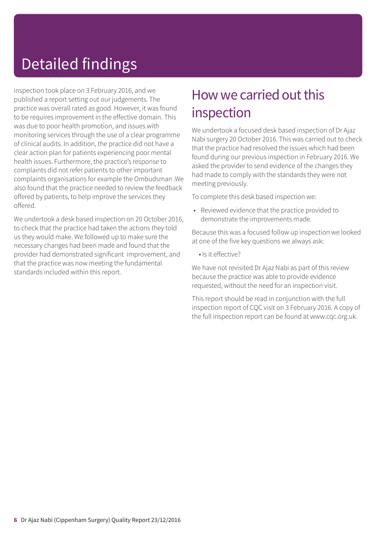## Detailed findings

inspection took place on 3 February 2016, and we published a report setting out our judgements. The practice was overall rated as good. However, it was found to be requires improvement in the effective domain. This was due to poor health promotion, and issues with monitoring services through the use of a clear programme of clinical audits. In addition, the practice did not have a clear action plan for patients experiencing poor mental health issues. Furthermore, the practice's response to complaints did not refer patients to other important complaints organisations for example the Ombudsman .We also found that the practice needed to review the feedback offered by patients, to help improve the services they offered.

We undertook a desk based inspection on 20 October 2016, to check that the practice had taken the actions they told us they would make. We followed up to make sure the necessary changes had been made and found that the provider had demonstrated significant improvement, and that the practice was now meeting the fundamental standards included within this report.

## How we carried out this inspection

We undertook a focused desk based inspection of Dr Ajaz Nabi surgery 20 October 2016. This was carried out to check that the practice had resolved the issues which had been found during our previous inspection in February 2016. We asked the provider to send evidence of the changes they had made to comply with the standards they were not meeting previously.

To complete this desk based inspection we:

• Reviewed evidence that the practice provided to demonstrate the improvements made.

Because this was a focused follow up inspection we looked at one of the five key questions we always ask:

• Is it effective?

We have not revisited Dr Ajaz Nabi as part of this review because the practice was able to provide evidence requested, without the need for an inspection visit.

This report should be read in conjunction with the full inspection report of CQC visit on 3 February 2016. A copy of the full inspection report can be found at www.cqc.org.uk.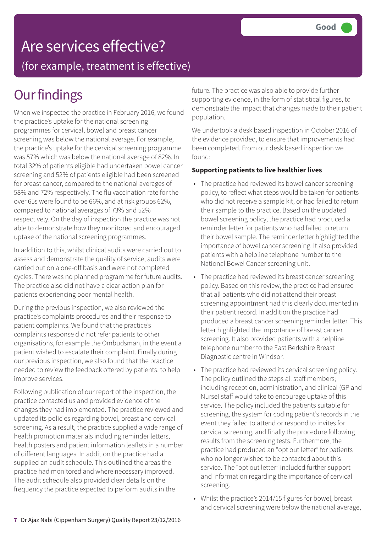# Are services effective?

(for example, treatment is effective)

# **Our findings**

When we inspected the practice in February 2016, we found the practice's uptake for the national screening programmes for cervical, bowel and breast cancer screening was below the national average. For example, the practice's uptake for the cervical screening programme was 57% which was below the national average of 82%. In total 32% of patients eligible had undertaken bowel cancer screening and 52% of patients eligible had been screened for breast cancer, compared to the national averages of 58% and 72% respectively. The flu vaccination rate for the over 65s were found to be 66%, and at risk groups 62%, compared to national averages of 73% and 52% respectively. On the day of inspection the practice was not able to demonstrate how they monitored and encouraged uptake of the national screening programmes.

In addition to this, whilst clinical audits were carried out to assess and demonstrate the quality of service, audits were carried out on a one-off basis and were not completed cycles. There was no planned programme for future audits. The practice also did not have a clear action plan for patients experiencing poor mental health.

During the previous inspection, we also reviewed the practice's complaints procedures and their response to patient complaints. We found that the practice's complaints response did not refer patients to other organisations, for example the Ombudsman, in the event a patient wished to escalate their complaint. Finally during our previous inspection, we also found that the practice needed to review the feedback offered by patients, to help improve services.

Following publication of our report of the inspection, the practice contacted us and provided evidence of the changes they had implemented. The practice reviewed and updated its policies regarding bowel, breast and cervical screening. As a result, the practice supplied a wide range of health promotion materials including reminder letters, health posters and patient information leaflets in a number of different languages. In addition the practice had a supplied an audit schedule. This outlined the areas the practice had monitored and where necessary improved. The audit schedule also provided clear details on the frequency the practice expected to perform audits in the

future. The practice was also able to provide further supporting evidence, in the form of statistical figures, to demonstrate the impact that changes made to their patient population.

We undertook a desk based inspection in October 2016 of the evidence provided, to ensure that improvements had been completed. From our desk based inspection we found:

#### **Supporting patients to live healthier lives**

- The practice had reviewed its bowel cancer screening policy, to reflect what steps would be taken for patients who did not receive a sample kit, or had failed to return their sample to the practice. Based on the updated bowel screening policy, the practice had produced a reminder letter for patients who had failed to return their bowel sample. The reminder letter highlighted the importance of bowel cancer screening. It also provided patients with a helpline telephone number to the National Bowel Cancer screening unit.
- The practice had reviewed its breast cancer screening policy. Based on this review, the practice had ensured that all patients who did not attend their breast screening appointment had this clearly documented in their patient record. In addition the practice had produced a breast cancer screening reminder letter. This letter highlighted the importance of breast cancer screening. It also provided patients with a helpline telephone number to the East Berkshire Breast Diagnostic centre in Windsor.
- The practice had reviewed its cervical screening policy. The policy outlined the steps all staff members; including reception, administration, and clinical (GP and Nurse) staff would take to encourage uptake of this service. The policy included the patients suitable for screening, the system for coding patient's records in the event they failed to attend or respond to invites for cervical screening, and finally the procedure following results from the screening tests. Furthermore, the practice had produced an "opt out letter" for patients who no longer wished to be contacted about this service. The "opt out letter" included further support and information regarding the importance of cervical screening.
- Whilst the practice's 2014/15 figures for bowel, breast and cervical screening were below the national average,